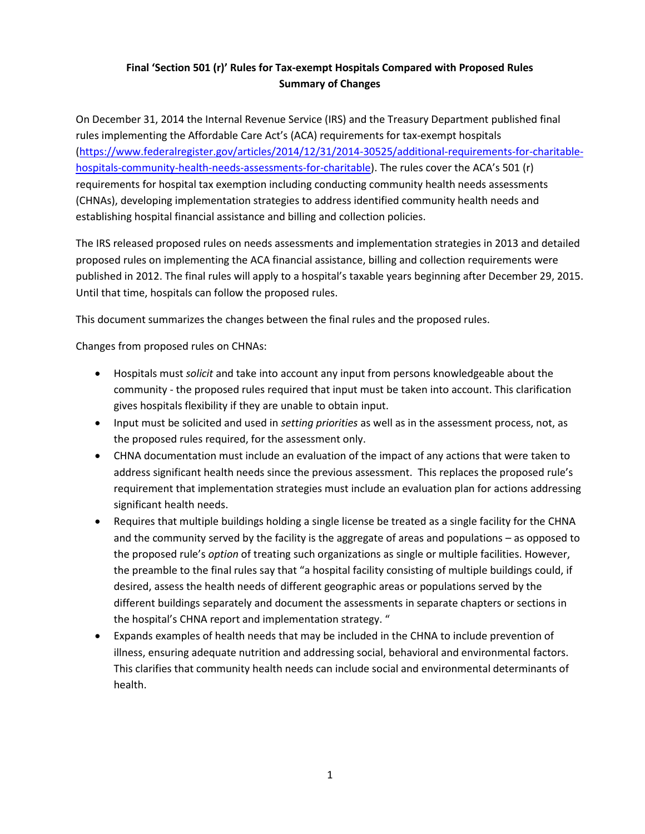## **Final 'Section 501 (r)' Rules for Tax-exempt Hospitals Compared with Proposed Rules Summary of Changes**

On December 31, 2014 the Internal Revenue Service (IRS) and the Treasury Department published final rules implementing the Affordable Care Act's (ACA) requirements for tax-exempt hospitals [\(https://www.federalregister.gov/articles/2014/12/31/2014-30525/additional-requirements-for-charitable](https://www.federalregister.gov/articles/2014/12/31/2014-30525/additional-requirements-for-charitable-hospitals-community-health-needs-assessments-for-charitable)[hospitals-community-health-needs-assessments-for-charitable\)](https://www.federalregister.gov/articles/2014/12/31/2014-30525/additional-requirements-for-charitable-hospitals-community-health-needs-assessments-for-charitable). The rules cover the ACA's 501 (r) requirements for hospital tax exemption including conducting community health needs assessments (CHNAs), developing implementation strategies to address identified community health needs and establishing hospital financial assistance and billing and collection policies.

The IRS released proposed rules on needs assessments and implementation strategies in 2013 and detailed proposed rules on implementing the ACA financial assistance, billing and collection requirements were published in 2012. The final rules will apply to a hospital's taxable years beginning after December 29, 2015. Until that time, hospitals can follow the proposed rules.

This document summarizes the changes between the final rules and the proposed rules.

Changes from proposed rules on CHNAs:

- Hospitals must *solicit* and take into account any input from persons knowledgeable about the community - the proposed rules required that input must be taken into account. This clarification gives hospitals flexibility if they are unable to obtain input.
- Input must be solicited and used in *setting priorities* as well as in the assessment process, not, as the proposed rules required, for the assessment only.
- CHNA documentation must include an evaluation of the impact of any actions that were taken to address significant health needs since the previous assessment. This replaces the proposed rule's requirement that implementation strategies must include an evaluation plan for actions addressing significant health needs.
- Requires that multiple buildings holding a single license be treated as a single facility for the CHNA and the community served by the facility is the aggregate of areas and populations – as opposed to the proposed rule's *option* of treating such organizations as single or multiple facilities. However, the preamble to the final rules say that "a hospital facility consisting of multiple buildings could, if desired, assess the health needs of different geographic areas or populations served by the different buildings separately and document the assessments in separate chapters or sections in the hospital's CHNA report and implementation strategy. "
- Expands examples of health needs that may be included in the CHNA to include prevention of illness, ensuring adequate nutrition and addressing social, behavioral and environmental factors. This clarifies that community health needs can include social and environmental determinants of health.